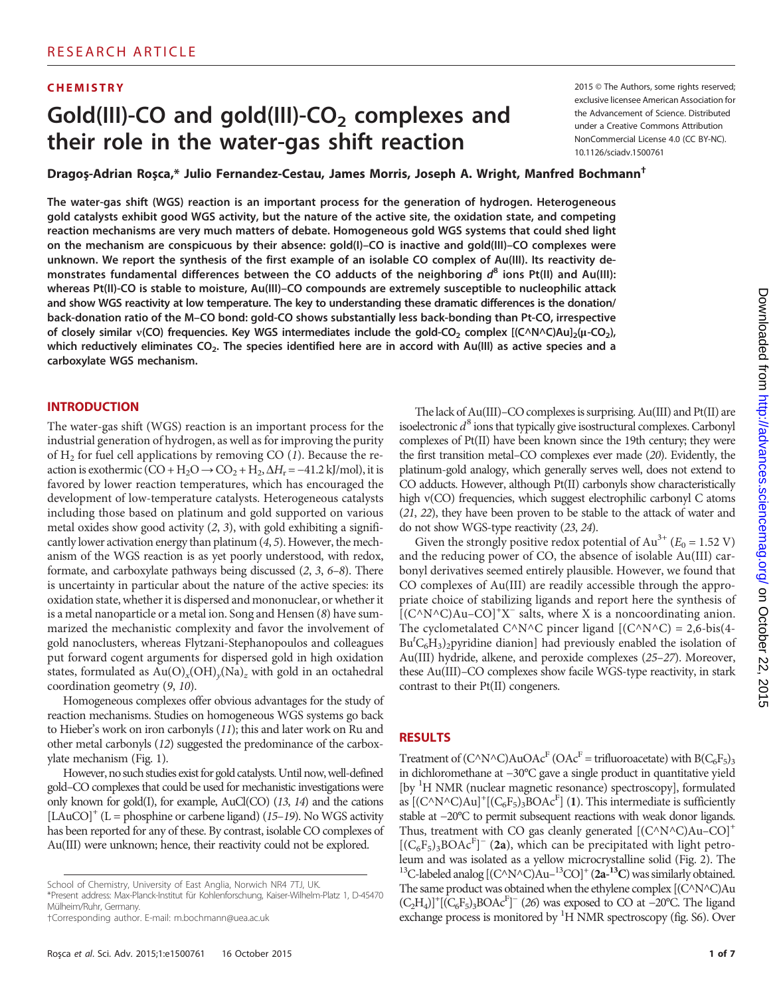# Gold(III)-CO and gold(III)-CO<sub>2</sub> complexes and their role in the water-gas shift reaction

**CHEMISTRY** 2015 © The Authors, some rights reserved; exclusive licensee American Association for the Advancement of Science. Distributed under a Creative Commons Attribution NonCommercial License 4.0 (CC BY-NC). 10.1126/sciadv.1500761

Dragoş-Adrian Roşca,\* Julio Fernandez-Cestau, James Morris, Joseph A. Wright, Manfred Bochmann*†*

The water-gas shift (WGS) reaction is an important process for the generation of hydrogen. Heterogeneous gold catalysts exhibit good WGS activity, but the nature of the active site, the oxidation state, and competing reaction mechanisms are very much matters of debate. Homogeneous gold WGS systems that could shed light on the mechanism are conspicuous by their absence: gold(I)–CO is inactive and gold(III)–CO complexes were unknown. We report the synthesis of the first example of an isolable CO complex of Au(III). Its reactivity demonstrates fundamental differences between the CO adducts of the neighboring  $d^8$  ions Pt(II) and Au(III): whereas Pt(II)-CO is stable to moisture, Au(III)–CO compounds are extremely susceptible to nucleophilic attack and show WGS reactivity at low temperature. The key to understanding these dramatic differences is the donation/ back-donation ratio of the M–CO bond: gold-CO shows substantially less back-bonding than Pt-CO, irrespective of closely similar v(CO) frequencies. Key WGS intermediates include the gold-CO<sub>2</sub> complex  $[(C \wedge N \wedge C)Au]_2(\mu-CO_2)$ , which reductively eliminates  $CO<sub>2</sub>$ . The species identified here are in accord with Au(III) as active species and a carboxylate WGS mechanism.

#### **INTRODUCTION**

The water-gas shift (WGS) reaction is an important process for the industrial generation of hydrogen, as well as for improving the purity of  $H_2$  for fuel cell applications by removing CO (1). Because the reaction is exothermic (CO + H<sub>2</sub>O → CO<sub>2</sub> + H<sub>2</sub>,  $\Delta H_r$  = -41.2 kJ/mol), it is favored by lower reaction temperatures, which has encouraged the development of low-temperature catalysts. Heterogeneous catalysts including those based on platinum and gold supported on various metal oxides show good activity (2, 3), with gold exhibiting a significantly lower activation energy than platinum (4, 5). However, the mechanism of the WGS reaction is as yet poorly understood, with redox, formate, and carboxylate pathways being discussed (2, 3, 6–8). There is uncertainty in particular about the nature of the active species: its oxidation state, whether it is dispersed and mononuclear, or whether it is a metal nanoparticle or a metal ion. Song and Hensen (8) have summarized the mechanistic complexity and favor the involvement of gold nanoclusters, whereas Flytzani-Stephanopoulos and colleagues put forward cogent arguments for dispersed gold in high oxidation states, formulated as  $Au(O)_x(OH)_y(Na)_z$  with gold in an octahedral coordination geometry (9, 10).

Homogeneous complexes offer obvious advantages for the study of reaction mechanisms. Studies on homogeneous WGS systems go back to Hieber's work on iron carbonyls (11); this and later work on Ru and other metal carbonyls (12) suggested the predominance of the carboxylate mechanism (Fig. 1).

However, no such studies exist for gold catalysts. Until now, well-defined gold–CO complexes that could be used for mechanistic investigations were only known for gold(I), for example, AuCl(CO) (13, 14) and the cations  $[LAuCO]<sup>+</sup>$  (L = phosphine or carbene ligand) (15–19). No WGS activity has been reported for any of these. By contrast, isolable CO complexes of Au(III) were unknown; hence, their reactivity could not be explored.

The lack of Au(III)–CO complexes is surprising. Au(III) and Pt(II) are isoelectronic  $d^8$  ions that typically give isostructural complexes. Carbonyl complexes of Pt(II) have been known since the 19th century; they were the first transition metal–CO complexes ever made (20). Evidently, the platinum-gold analogy, which generally serves well, does not extend to CO adducts. However, although Pt(II) carbonyls show characteristically high v(CO) frequencies, which suggest electrophilic carbonyl C atoms (21, 22), they have been proven to be stable to the attack of water and do not show WGS-type reactivity (23, 24).

Given the strongly positive redox potential of Au<sup>3+</sup> ( $E_0 = 1.52$  V) and the reducing power of CO, the absence of isolable Au(III) carbonyl derivatives seemed entirely plausible. However, we found that CO complexes of Au(III) are readily accessible through the appropriate choice of stabilizing ligands and report here the synthesis of  $[(C^{\wedge}N^{\wedge}C)Au-CO]^+X^-$  salts, where X is a noncoordinating anion. The cyclometalated C^N^C pincer ligand  $[(C^NNC) = 2,6-bis(4-$ Bu<sup>t</sup> $C_6H_3$ )<sub>2</sub>pyridine dianion] had previously enabled the isolation of Au(III) hydride, alkene, and peroxide complexes (25–27). Moreover, these Au(III)–CO complexes show facile WGS-type reactivity, in stark contrast to their Pt(II) congeners.

#### RESULTS

Treatment of  $(C^{\wedge}N^{\wedge}C)AuOAc^F (OAc^F = trifluoroacetate)$  with  $B(C_6F_5)_3$ in dichloromethane at −30°C gave a single product in quantitative yield [by <sup>1</sup> H NMR (nuclear magnetic resonance) spectroscopy], formulated as  $[(C^{\wedge}N^{\wedge}C)Au]^+[(C_6F_5)_3BOAc^F]$  (1). This intermediate is sufficiently stable at −20°C to permit subsequent reactions with weak donor ligands. Thus, treatment with CO gas cleanly generated  $[(C^{\wedge}N^{\wedge}C)Au-CO]^+$  $[(C_6F_5)_3BOAc^F]$ <sup>-</sup> (2a), which can be precipitated with light petroleum and was isolated as a yellow microcrystalline solid (Fig. 2). The <sup>13</sup>C-labeled analog  $[(C^NC^NC)Au^{-13}CO]^+(2a^{-13}C)$  was similarly obtained. The same product was obtained when the ethylene complex [(C^N^C)Au  $(C_2H_4)]^+$ [ $(C_6F_5)_3BOAC^F$ ]<sup>-</sup> (26) was exposed to CO at -20°C. The ligand exchange process is monitored by  ${}^{1}$ H NMR spectroscopy (fig. S6). Over

School of Chemistry, University of East Anglia, Norwich NR4 7TJ, UK. \*Present address: Max-Planck-Institut für Kohlenforschung, Kaiser-Wilhelm-Platz 1, D-45470 Mülheim/Ruhr, Germany.

*<sup>†</sup>*Corresponding author. E-mail: m.bochmann@uea.ac.uk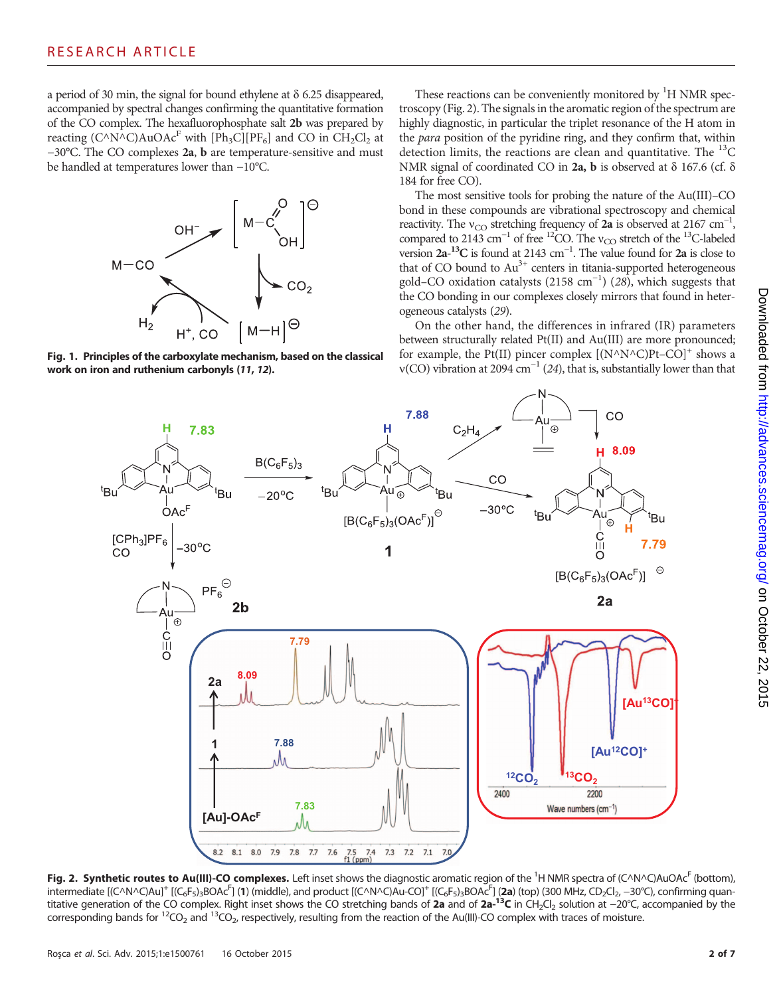a period of 30 min, the signal for bound ethylene at  $\delta$  6.25 disappeared, accompanied by spectral changes confirming the quantitative formation of the CO complex. The hexafluorophosphate salt 2b was prepared by reacting  $(C^{\wedge}N^{\wedge}C)AuOAc^F$  with  $[Ph_3C][PF_6]$  and CO in  $CH_2Cl_2$  at −30°C. The CO complexes 2a, b are temperature-sensitive and must be handled at temperatures lower than −10°C.



Fig. 1. Principles of the carboxylate mechanism, based on the classical work on iron and ruthenium carbonyls (11, 12).

These reactions can be conveniently monitored by <sup>1</sup>H NMR spectroscopy (Fig. 2). The signals in the aromatic region of the spectrum are highly diagnostic, in particular the triplet resonance of the H atom in the para position of the pyridine ring, and they confirm that, within detection limits, the reactions are clean and quantitative. The  ${}^{13}C$ NMR signal of coordinated CO in 2a, b is observed at  $\delta$  167.6 (cf.  $\delta$ 184 for free CO).

The most sensitive tools for probing the nature of the Au(III)–CO bond in these compounds are vibrational spectroscopy and chemical reactivity. The v<sub>CO</sub> stretching frequency of 2a is observed at 2167 cm<sup>-1</sup>, compared to 2143 cm<sup>-1</sup> of free <sup>12</sup>CO. The v<sub>CO</sub> stretch of the <sup>13</sup>C-labeled version  $2a^{-13}C$  is found at 2143 cm<sup>-1</sup>. The value found for 2a is close to that of CO bound to  $Au^{3+}$  centers in titania-supported heterogeneous gold–CO oxidation catalysts (2158 cm<sup>-1</sup>) (28), which suggests that the CO bonding in our complexes closely mirrors that found in heterogeneous catalysts (29).

On the other hand, the differences in infrared (IR) parameters between structurally related Pt(II) and Au(III) are more pronounced; for example, the Pt(II) pincer complex  $[(N^{\wedge}N^{\wedge}C)Pt-CO]^+$  shows a  $v(CO)$  vibration at 2094 cm<sup>-1</sup> (24), that is, substantially lower than that



Fig. 2. Synthetic routes to Au(III)-CO complexes. Left inset shows the diagnostic aromatic region of the <sup>1</sup>H NMR spectra of (C^N^C)AuOAc<sup>F</sup> (bottom), intermediate [(C^N^C)Au]<sup>+</sup> [(C<sub>6</sub>F<sub>5</sub>)<sub>3</sub>BOAc<sup>F</sup>] (1) (middle), and product [(C^N^C)Au-CO]<sup>+</sup> [(C<sub>6</sub>F<sub>5</sub>)<sub>3</sub>BOAc<sup>F</sup>] (2a) (top) (300 MHz, CD<sub>2</sub>Cl<sub>2</sub>, −30°C), confirming quantitative generation of the CO complex. Right inset shows the CO stretching bands of 2a and of 2a-<sup>13</sup>C in CH<sub>2</sub>Cl<sub>2</sub> solution at −20°C, accompanied by the corresponding bands for  ${}^{12}CO_2$  and  ${}^{13}CO_2$ , respectively, resulting from the reaction of the Au(III)-CO complex with traces of moisture.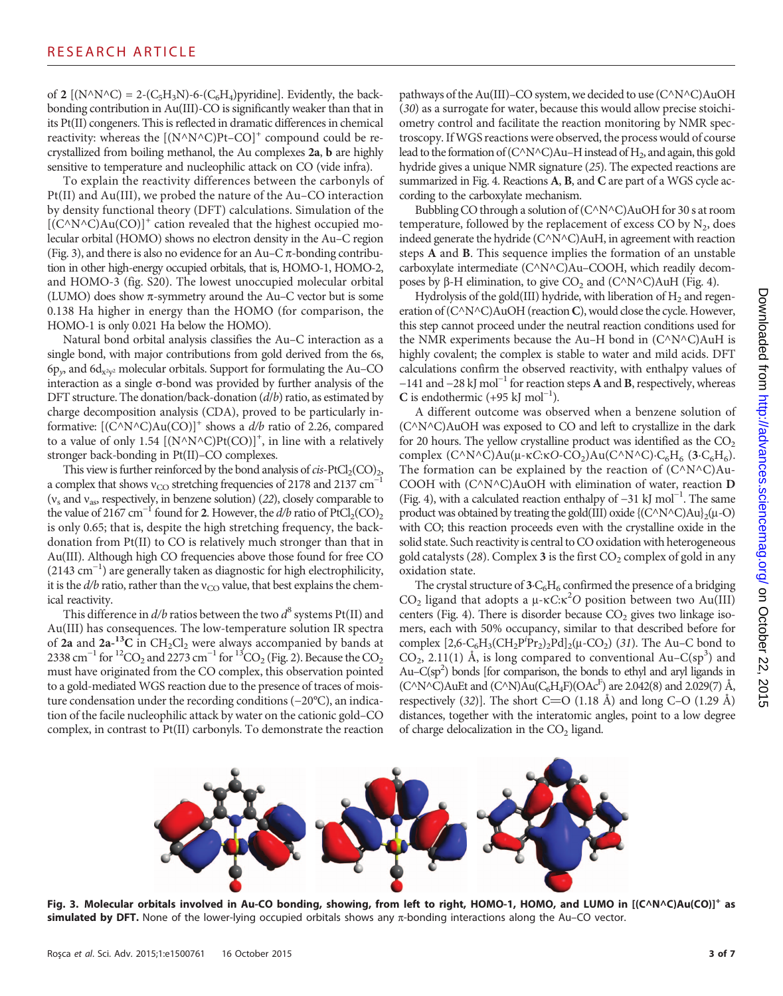of 2 [( $N^{\wedge}N^{\wedge}C$ ) = 2-( $C_5H_3N$ )-6-( $C_6H_4$ )pyridine]. Evidently, the backbonding contribution in Au(III)-CO is significantly weaker than that in its Pt(II) congeners. This is reflected in dramatic differences in chemical reactivity: whereas the  $[(N^{\wedge}N^{\wedge}C)Pt-CO]^+$  compound could be recrystallized from boiling methanol, the Au complexes 2a, b are highly sensitive to temperature and nucleophilic attack on CO (vide infra).

To explain the reactivity differences between the carbonyls of Pt(II) and Au(III), we probed the nature of the Au–CO interaction by density functional theory (DFT) calculations. Simulation of the  $[{\rm (C^{\wedge}N^{\wedge}C)Au(CO)}]^+$  cation revealed that the highest occupied molecular orbital (HOMO) shows no electron density in the Au–C region (Fig. 3), and there is also no evidence for an Au–C $\pi$ -bonding contribution in other high-energy occupied orbitals, that is, HOMO-1, HOMO-2, and HOMO-3 (fig. S20). The lowest unoccupied molecular orbital (LUMO) does show  $\pi$ -symmetry around the Au–C vector but is some 0.138 Ha higher in energy than the HOMO (for comparison, the HOMO-1 is only 0.021 Ha below the HOMO).

Natural bond orbital analysis classifies the Au–C interaction as a single bond, with major contributions from gold derived from the 6s,  $6p_v$ , and  $6d_{x^2v^2}$  molecular orbitals. Support for formulating the Au–CO interaction as a single  $\sigma$ -bond was provided by further analysis of the DFT structure. The donation/back-donation (d/b) ratio, as estimated by charge decomposition analysis (CDA), proved to be particularly informative:  $[(C^NN^nC)Au(CO)]^+$  shows a  $d/b$  ratio of 2.26, compared to a value of only 1.54  $[(N^N N^N C)Pt(CO)]^+$ , in line with a relatively stronger back-bonding in Pt(II)–CO complexes.

This view is further reinforced by the bond analysis of  $cis$ -PtCl<sub>2</sub>(CO)<sub>2</sub>, a complex that shows v<sub>CO</sub> stretching frequencies of 2178 and 2137 cm<sup>-1</sup> ( $v_s$  and  $v_{as}$ , respectively, in benzene solution) (22), closely comparable to the value of 2167 cm<sup>-1</sup> found for 2. However, the  $d/b$  ratio of PtCl<sub>2</sub>(CO)<sub>2</sub> is only 0.65; that is, despite the high stretching frequency, the backdonation from Pt(II) to CO is relatively much stronger than that in Au(III). Although high CO frequencies above those found for free CO (2143 cm−<sup>1</sup> ) are generally taken as diagnostic for high electrophilicity, it is the  $d/b$  ratio, rather than the  $v_{CO}$  value, that best explains the chemical reactivity.

This difference in  $d/b$  ratios between the two  $d^8$  systems Pt(II) and Au(III) has consequences. The low-temperature solution IR spectra of 2a and  $2a^{-13}C$  in  $CH_2Cl_2$  were always accompanied by bands at 2338 cm<sup>-1</sup> for <sup>12</sup>CO<sub>2</sub> and 2273 cm<sup>-1</sup> for <sup>13</sup>CO<sub>2</sub> (Fig. 2). Because the CO<sub>2</sub> must have originated from the CO complex, this observation pointed to a gold-mediated WGS reaction due to the presence of traces of moisture condensation under the recording conditions (−20°C), an indication of the facile nucleophilic attack by water on the cationic gold–CO complex, in contrast to Pt(II) carbonyls. To demonstrate the reaction

pathways of the Au(III)–CO system, we decided to use (C^N^C)AuOH (30) as a surrogate for water, because this would allow precise stoichiometry control and facilitate the reaction monitoring by NMR spectroscopy. IfWGS reactions were observed, the process would of course lead to the formation of  $(C^NC)Au-H$  instead of  $H_2$ , and again, this gold hydride gives a unique NMR signature (25). The expected reactions are summarized in Fig. 4. Reactions A, B, and C are part of a WGS cycle according to the carboxylate mechanism.

Bubbling CO through a solution of (C^N^C)AuOH for 30 s at room temperature, followed by the replacement of excess CO by  $N_2$ , does indeed generate the hydride (C^N^C)AuH, in agreement with reaction steps A and B. This sequence implies the formation of an unstable carboxylate intermediate (C^N^C)Au–COOH, which readily decomposes by  $\beta$ -H elimination, to give CO<sub>2</sub> and (C^N^C)AuH (Fig. 4).

Hydrolysis of the gold(III) hydride, with liberation of  $H_2$  and regeneration of (C^N^C)AuOH (reaction C), would close the cycle. However, this step cannot proceed under the neutral reaction conditions used for the NMR experiments because the Au–H bond in (C^N^C)AuH is highly covalent; the complex is stable to water and mild acids. DFT calculations confirm the observed reactivity, with enthalpy values of −141 and −28 kJ mol−<sup>1</sup> for reaction steps A and B, respectively, whereas C is endothermic  $(+95 \text{ kJ mol}^{-1})$ .

A different outcome was observed when a benzene solution of (C^N^C)AuOH was exposed to CO and left to crystallize in the dark for 20 hours. The yellow crystalline product was identified as the  $CO<sub>2</sub>$ complex  $(C^{\wedge}N^{\wedge}C)Au(\mu-\kappa C:\kappa O\text{-}CO_2)Au(C^{\wedge}N^{\wedge}C)\text{-}C_6H_6$  (3·C<sub>6</sub>H<sub>6</sub>). The formation can be explained by the reaction of  $(C^{\wedge}N^{\wedge}C)Au$ -COOH with (C^N^C)AuOH with elimination of water, reaction D (Fig. 4), with a calculated reaction enthalpy of −31 kJ mol−<sup>1</sup> . The same product was obtained by treating the gold(III) oxide  ${({\rm C}\wedge{\rm N}\wedge{\rm C})\rm{Au}}_2(\mu$ -O) with CO; this reaction proceeds even with the crystalline oxide in the solid state. Such reactivity is central to CO oxidation with heterogeneous gold catalysts (28). Complex 3 is the first  $CO<sub>2</sub>$  complex of gold in any oxidation state.

The crystal structure of  $3\text{-}C_6H_6$  confirmed the presence of a bridging  $CO<sub>2</sub>$  ligand that adopts a  $\mu$ - $\kappa$ C: $\kappa^2$ O position between two Au(III) centers (Fig. 4). There is disorder because  $CO<sub>2</sub>$  gives two linkage isomers, each with 50% occupancy, similar to that described before for complex  $[2,6-C_6H_3(CH_2P^iPr_2)_2Pd]_2(\mu$ -CO<sub>2</sub>) (31). The Au–C bond to  $CO<sub>2</sub>$ , 2.11(1) Å, is long compared to conventional Au–C(sp<sup>3</sup>) and Au–C(sp<sup>2</sup>) bonds [for comparison, the bonds to ethyl and aryl ligands in (C^N^C)AuEt and (C^N)Au(C<sub>6</sub>H<sub>4</sub>F)(OAc<sup>F</sup>) are 2.042(8) and 2.029(7) Å, respectively  $(32)$ ]. The short C=O  $(1.18 \text{ Å})$  and long C–O  $(1.29 \text{ Å})$ distances, together with the interatomic angles, point to a low degree of charge delocalization in the  $CO<sub>2</sub>$  ligand.



Fig. 3. Molecular orbitals involved in Au-CO bonding, showing, from left to right, HOMO-1, HOMO, and LUMO in [(C^N^C)Au(CO)]<sup>+</sup> as simulated by DFT. None of the lower-lying occupied orbitals shows any  $\pi$ -bonding interactions along the Au–CO vector.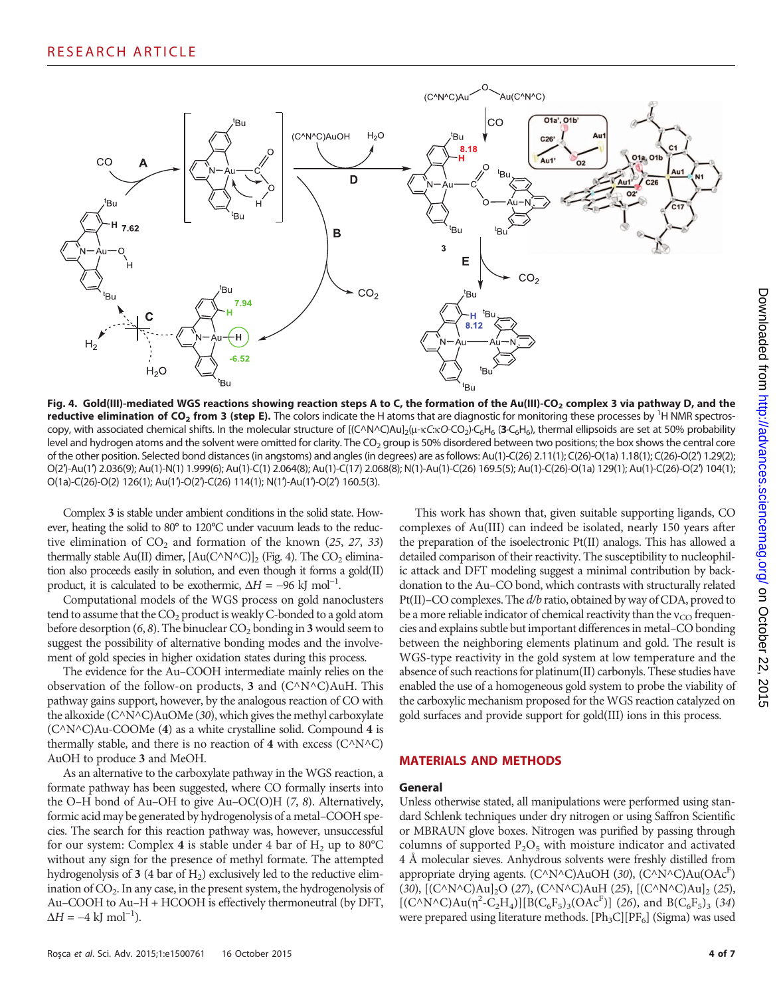

Fig. 4. Gold(III)-mediated WGS reactions showing reaction steps A to C, the formation of the Au(III)-CO<sub>2</sub> complex 3 via pathway D, and the reductive elimination of CO<sub>2</sub> from 3 (step E). The colors indicate the H atoms that are diagnostic for monitoring these processes by <sup>1</sup>H NMR spectroscopy, with associated chemical shifts. In the molecular structure of  $[(C^N N^C)A u]_2(\mu - \kappa C \kappa C - CO_2)$ ·C<sub>6</sub>H<sub>6</sub> (3·C<sub>6</sub>H<sub>6</sub>), thermal ellipsoids are set at 50% probability level and hydrogen atoms and the solvent were omitted for clarity. The CO<sub>2</sub> group is 50% disordered between two positions; the box shows the central core of the other position. Selected bond distances (in angstoms) and angles (in degrees) are as follows: Au(1)-C(26) 2.11(1); C(26)-O(1a) 1.18(1); C(26)-O(2′) 1.29(2); O(2′)-Au(1′) 2.036(9); Au(1)-N(1) 1.999(6); Au(1)-C(1) 2.064(8); Au(1)-C(17) 2.068(8); N(1)-Au(1)-C(26) 169.5(5); Au(1)-C(26)-O(1a) 129(1); Au(1)-C(26)-O(2′) 104(1); O(1a)-C(26)-O(2) 126(1); Au(1′)-O(2′)-C(26) 114(1); N(1′)-Au(1′)-O(2′) 160.5(3).

Complex 3 is stable under ambient conditions in the solid state. However, heating the solid to 80° to 120°C under vacuum leads to the reductive elimination of  $CO<sub>2</sub>$  and formation of the known (25, 27, 33) thermally stable Au(II) dimer,  $[Au(C^NN^C)]_2$  (Fig. 4). The CO<sub>2</sub> elimination also proceeds easily in solution, and even though it forms a gold(II) product, it is calculated to be exothermic,  $\Delta H = -96$  kJ mol<sup>-1</sup>.

Computational models of the WGS process on gold nanoclusters tend to assume that the  $CO<sub>2</sub>$  product is weakly C-bonded to a gold atom before desorption  $(6, 8)$ . The binuclear  $CO<sub>2</sub>$  bonding in 3 would seem to suggest the possibility of alternative bonding modes and the involvement of gold species in higher oxidation states during this process.

The evidence for the Au–COOH intermediate mainly relies on the observation of the follow-on products, 3 and  $(C^{\wedge}N^{\wedge}C)$ AuH. This pathway gains support, however, by the analogous reaction of CO with the alkoxide ( $C^{\wedge}N^{\wedge}C$ )AuOMe (30), which gives the methyl carboxylate  $(C^{\wedge}N^{\wedge}C)$ Au-COOMe (4) as a white crystalline solid. Compound 4 is thermally stable, and there is no reaction of 4 with excess ( $C^{\wedge}N^{\wedge}C$ ) AuOH to produce 3 and MeOH.

As an alternative to the carboxylate pathway in the WGS reaction, a formate pathway has been suggested, where CO formally inserts into the O–H bond of Au–OH to give Au–OC(O)H (7, 8). Alternatively, formic acid may be generated by hydrogenolysis of a metal–COOH species. The search for this reaction pathway was, however, unsuccessful for our system: Complex 4 is stable under 4 bar of  $H_2$  up to 80°C without any sign for the presence of methyl formate. The attempted hydrogenolysis of 3 (4 bar of  $H_2$ ) exclusively led to the reductive elimination of  $CO<sub>2</sub>$ . In any case, in the present system, the hydrogenolysis of Au–COOH to Au–H + HCOOH is effectively thermoneutral (by DFT,  $\Delta H = -4$  kJ mol<sup>-1</sup>).

This work has shown that, given suitable supporting ligands, CO complexes of Au(III) can indeed be isolated, nearly 150 years after the preparation of the isoelectronic Pt(II) analogs. This has allowed a detailed comparison of their reactivity. The susceptibility to nucleophilic attack and DFT modeling suggest a minimal contribution by backdonation to the Au–CO bond, which contrasts with structurally related Pt(II)–CO complexes. The d/b ratio, obtained by way of CDA, proved to be a more reliable indicator of chemical reactivity than the  $v_{CO}$  frequencies and explains subtle but important differences in metal–CO bonding between the neighboring elements platinum and gold. The result is WGS-type reactivity in the gold system at low temperature and the absence of such reactions for platinum(II) carbonyls. These studies have enabled the use of a homogeneous gold system to probe the viability of the carboxylic mechanism proposed for the WGS reaction catalyzed on gold surfaces and provide support for gold(III) ions in this process.

#### MATERIALS AND METHODS

#### General

Unless otherwise stated, all manipulations were performed using standard Schlenk techniques under dry nitrogen or using Saffron Scientific or MBRAUN glove boxes. Nitrogen was purified by passing through columns of supported  $P_2O_5$  with moisture indicator and activated 4 Å molecular sieves. Anhydrous solvents were freshly distilled from appropriate drying agents. (C^N^C)AuOH (30), (C^N^C)Au(OAcF) (30),  $[(C^{\wedge}N^{\wedge}C)Au]_2O$  (27),  $(C^{\wedge}N^{\wedge}C)AuH$  (25),  $[(C^{\wedge}N^{\wedge}C)Au]_2$  (25),  $[(C^{\wedge}N^{\wedge}C)Au(\eta^2-C_2H_4)][B(C_6F_5)_3(OAc^F)]$  (26), and B(C<sub>6</sub>F<sub>5</sub>)<sub>3</sub> (34) were prepared using literature methods.  $[Ph_3C][PF_6]$  (Sigma) was used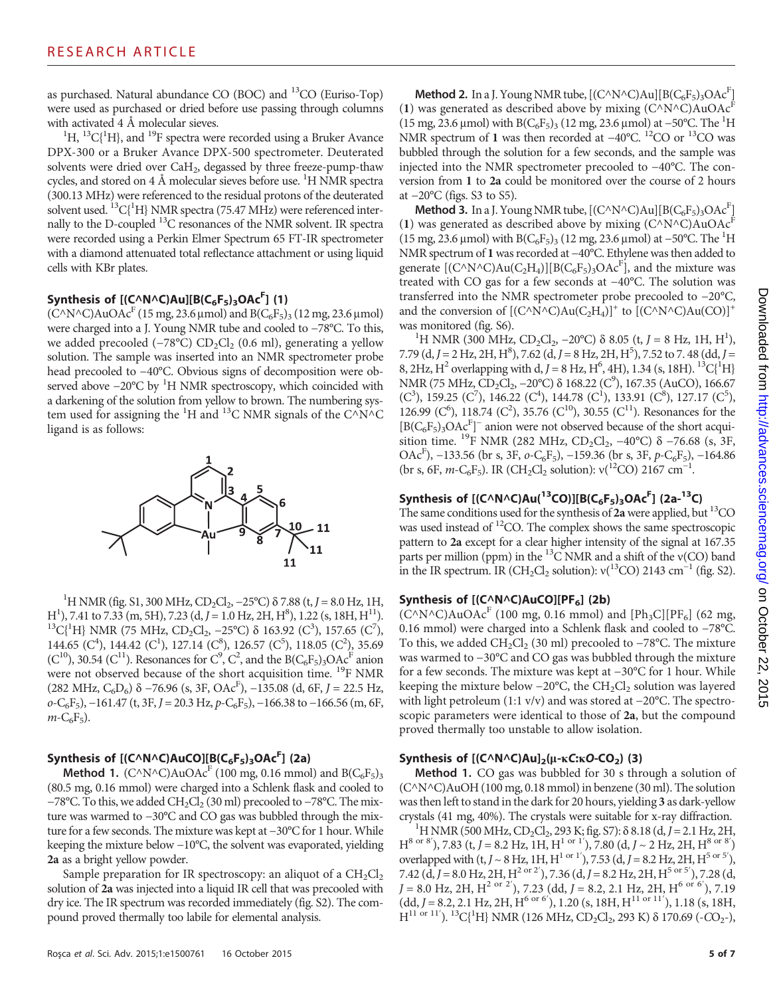as purchased. Natural abundance CO (BOC) and 13CO (Euriso-Top) were used as purchased or dried before use passing through columns with activated  $4 \text{ Å}$  molecular sieves.

H, <sup>13</sup>C{<sup>1</sup>H}, and <sup>19</sup>F spectra were recorded using a Bruker Avance DPX-300 or a Bruker Avance DPX-500 spectrometer. Deuterated solvents were dried over CaH<sub>2</sub>, degassed by three freeze-pump-thaw cycles, and stored on 4 Å molecular sieves before use. <sup>1</sup>H NMR spectra (300.13 MHz) were referenced to the residual protons of the deuterated solvent used. <sup>13</sup>C{<sup>1</sup>H} NMR spectra (75.47 MHz) were referenced internally to the D-coupled 13C resonances of the NMR solvent. IR spectra were recorded using a Perkin Elmer Spectrum 65 FT-IR spectrometer with a diamond attenuated total reflectance attachment or using liquid cells with KBr plates.

# Synthesis of  $[(C^{\wedge}N^{\wedge}C)Au][B(C_6F_5)_3OAc^F]$  (1)

 $(C^NN^{\wedge}C)AuOAc^F$  (15 mg, 23.6 µmol) and B( $C_6F_5$ )<sub>3</sub> (12 mg, 23.6 µmol) were charged into a J. Young NMR tube and cooled to −78°C. To this, we added precooled (−78°C) CD<sub>2</sub>Cl<sub>2</sub> (0.6 ml), generating a yellow solution. The sample was inserted into an NMR spectrometer probe head precooled to −40°C. Obvious signs of decomposition were observed above -20°C by <sup>1</sup>H NMR spectroscopy, which coincided with a darkening of the solution from yellow to brown. The numbering system used for assigning the <sup>1</sup>H and <sup>13</sup>C NMR signals of the C^N^C ligand is as follows:



<sup>1</sup>H NMR (fig. S1, 300 MHz, CD<sub>2</sub>Cl<sub>2</sub>, –25°C) δ 7.88 (t, J = 8.0 Hz, 1H, H<sup>1</sup>), 7.41 to 7.33 (m, 5H), 7.23 (d,  $J = 1.0$  Hz, 2H, H<sup>8</sup> H<sup>1</sup>), 7.41 to 7.33 (m, 5H), 7.23 (d,  $J = 1.0$  Hz, 2H, H<sup>8</sup>), 1.22 (s, 18H, H<sup>11</sup>).<br><sup>13</sup>C{<sup>1</sup>H} NMR (75 MHz, CD<sub>2</sub>Cl<sub>2</sub>, -25°C) δ 163.92 (C<sup>3</sup>), 157.65 (C<sup>7</sup>), 144.65 (C<sup>4</sup>), 144.42 (C<sup>1</sup>), 127.14 (C<sup>8</sup>), 126.57 (C<sup>5</sup>), 118.05 (C<sup>2</sup>), 35.69 (C<sup>10</sup>), 30.54 (C<sup>11</sup>). Resonances for C<sup>9</sup>, C<sup>2</sup>, and the B(C<sub>6</sub>F<sub>5</sub>)<sub>3</sub>OAc<sup>F</sup> anion were not observed because of the short acquisition time. <sup>19</sup>F NMR  $(282 \text{ MHz}, \text{C}_6\text{D}_6)$  δ −76.96 (s, 3F, OAc<sup>F</sup>), −135.08 (d, 6F, J = 22.5 Hz,  $o-C_6F_5$ ),  $-161.47$  (t,  $3F$ ,  $J = 20.3$  Hz,  $p-C_6F_5$ ),  $-166.38$  to  $-166.56$  (m, 6F,  $m - C_6F_5$ ).

# Synthesis of  $[(C \wedge N \wedge C)AuCO][B(C_6F_5)_3OAc^F]$  (2a)

**Method 1.** (C^N^C)AuOAc<sup>F</sup> (100 mg, 0.16 mmol) and B(C<sub>6</sub>F<sub>5</sub>)<sub>3</sub> (80.5 mg, 0.16 mmol) were charged into a Schlenk flask and cooled to −78°C. To this, we added CH<sub>2</sub>Cl<sub>2</sub> (30 ml) precooled to −78°C. The mixture was warmed to −30°C and CO gas was bubbled through the mixture for a few seconds. The mixture was kept at −30°C for 1 hour. While keeping the mixture below −10°C, the solvent was evaporated, yielding 2a as a bright yellow powder.

Sample preparation for IR spectroscopy: an aliquot of a  $CH_2Cl_2$ solution of 2a was injected into a liquid IR cell that was precooled with dry ice. The IR spectrum was recorded immediately (fig. S2). The compound proved thermally too labile for elemental analysis.

**Method 2.** In a J. Young NMR tube,  $[(C \wedge N \wedge C)Au][B(C_6F_5)_3OAc^F]$ (1) was generated as described above by mixing  $(C^{\wedge}N^{\wedge}C)AuOAc<sup>F</sup>$ (15 mg, 23.6 μmol) with B(C<sub>6</sub>F<sub>5</sub>)<sub>3</sub> (12 mg, 23.6 μmol) at −50°C. The <sup>1</sup>H NMR spectrum of 1 was then recorded at -40°C. <sup>12</sup>CO or <sup>13</sup>CO was bubbled through the solution for a few seconds, and the sample was injected into the NMR spectrometer precooled to −40°C. The conversion from 1 to 2a could be monitored over the course of 2 hours at −20°C (figs. S3 to S5).

**Method 3.** In a J. Young NMR tube,  $[(C \wedge N \wedge C)Au][B(C_6F_5)_3OAc^F]$ (1) was generated as described above by mixing  $(C^{\wedge}N^{\wedge}C)AuOAc^{F}$ (15 mg, 23.6 μmol) with B(C<sub>6</sub>F<sub>5</sub>)<sub>3</sub> (12 mg, 23.6 μmol) at −50°C. The <sup>1</sup>H NMR spectrum of 1 was recorded at −40°C. Ethylene was then added to generate  $[(C^{\wedge}N^{\wedge}C)Au(C_2H_4)][B(C_6F_5)_3OAc^F]$ , and the mixture was treated with CO gas for a few seconds at −40°C. The solution was transferred into the NMR spectrometer probe precooled to −20°C, and the conversion of  $[(C^{\wedge}N^{\wedge}C)Au(C_2H_4)]^+$  to  $[(C^{\wedge}N^{\wedge}C)Au(CO)]^+$ was monitored (fig. S6).

H NMR (300 MHz, CD<sub>2</sub>Cl<sub>2</sub>, -20°C) δ 8.05 (t, J = 8 Hz, 1H, H<sup>1</sup>), 7.79 (d, J = 2 Hz, 2H, H<sup>8</sup>), 7.62 (d, J = 8 Hz, 2H, H<sup>5</sup>), 7.52 to 7.48 (dd, J = 8, 2Hz, H<sup>2</sup> overlapping with d, J = 8 Hz, H<sup>6</sup>, 4H), 1.34 (s, 18H). <sup>13</sup>C{<sup>1</sup>H} NMR (75 MHz, CD<sub>2</sub>Cl<sub>2</sub>, −20°C) δ 168.22 (C<sup>9</sup>), 167.35 (AuCO), 166.67  $(C<sup>3</sup>)$ , 159.25  $(C<sup>7</sup>)$ , 146.22  $(C<sup>4</sup>)$ , 144.78  $(C<sup>1</sup>)$ , 133.91  $(C<sup>8</sup>)$ , 127.17  $(C<sup>5</sup>)$ , 126.99 (C<sup>6</sup>), 118.74 (C<sup>2</sup>), 35.76 (C<sup>10</sup>), 30.55 (C<sup>11</sup>). Resonances for the  $[B(C_6F_5)_3OAc^F]$ <sup>-</sup> anion were not observed because of the short acquisition time. <sup>19</sup>F NMR (282 MHz, CD<sub>2</sub>Cl<sub>2</sub>, -40°C)  $\delta$  -76.68 (s, 3F, OAc<sup>F</sup>), -133.56 (br s, 3F,  $o$ -C<sub>6</sub>F<sub>5</sub>), -159.36 (br s, 3F,  $p$ -C<sub>6</sub>F<sub>5</sub>), -164.86 (br s, 6F, m-C<sub>6</sub>F<sub>5</sub>). IR (CH<sub>2</sub>Cl<sub>2</sub> solution):  $v(^{12}CO)$  2167 cm<sup>-1</sup>.

# Synthesis of  $[(C \wedge N \wedge C)Au(^{13}CO)][B(C_6F_5)_3OAc^F]$  (2a- $^{13}C)$

The same conditions used for the synthesis of  $2a$  were applied, but <sup>13</sup>CO was used instead of <sup>12</sup>CO. The complex shows the same spectroscopic pattern to 2a except for a clear higher intensity of the signal at 167.35 parts per million (ppm) in the  $^{13}$ C NMR and a shift of the v(CO) band in the IR spectrum. IR (CH<sub>2</sub>Cl<sub>2</sub> solution):  $v(^{13}CO)$  2143 cm<sup>-1</sup> (fig. S2).

### Synthesis of  $[(C \wedge N \wedge C)AuCO][PF_6]$  (2b)

 $(C^{\wedge}N^{\wedge}C)AuOAc^{F}$  (100 mg, 0.16 mmol) and [Ph<sub>3</sub>C][PF<sub>6</sub>] (62 mg, 0.16 mmol) were charged into a Schlenk flask and cooled to −78°C. To this, we added  $CH_2Cl_2$  (30 ml) precooled to −78°C. The mixture was warmed to −30°C and CO gas was bubbled through the mixture for a few seconds. The mixture was kept at −30°C for 1 hour. While keeping the mixture below  $-20^{\circ}$ C, the CH<sub>2</sub>Cl<sub>2</sub> solution was layered with light petroleum (1:1 v/v) and was stored at −20°C. The spectroscopic parameters were identical to those of 2a, but the compound proved thermally too unstable to allow isolation.

## Synthesis of  $[(C \wedge N \wedge C)Au]_2(\mu$ -kC:kO-CO<sub>2</sub>) (3)

Method 1. CO gas was bubbled for 30 s through a solution of (C^N^C)AuOH (100 mg, 0.18 mmol) in benzene (30 ml). The solution was then left to stand in the dark for 20 hours, yielding 3 as dark-yellow crystals (41 mg, 40%). The crystals were suitable for x-ray diffraction. <sup>1</sup>

 $H$  H NMR (500 MHz, CD<sub>2</sub>Cl<sub>2</sub>, 293 K; fig. S7):  $\delta$  8.18 (d, J = 2.1 Hz, 2H,  $H^{8 \text{ or } 8'}$ ), 7.83 (t, J = 8.2 Hz, 1H, H<sup>1 or 1'</sup>), 7.80 (d, J ~ 2 Hz, 2H, H<sup>8 or 8'</sup>) overlapped with  $(t, J \sim 8 \text{ Hz}, 1 \text{ H}, \text{H}^{1 \text{ or } 1'}), 7.53 \text{ (d, } J = 8.2 \text{ Hz}, 2 \text{ H}, \text{H}^{5 \text{ or } 5'}),$ 7.42 (d, J = 8.0 Hz, 2H, H<sup>2 or 2'</sup>), 7.36 (d, J = 8.2 Hz, 2H, H<sup>5</sup> or <sup>5'</sup>), 7.28 (d,  $J = 8.0$  Hz, 2H,  $H^{2 \text{ or } 2'}$ ), 7.23 (dd,  $J = 8.2$ , 2.1 Hz, 2H,  $H^{6 \text{ or } 6'}$ ), 7.19<br>(dd,  $J = 8.2$ , 2.1 Hz, 2H,  $H^{6 \text{ or } 6'}$ ), 1.20 (s, 18H,  $H^{11 \text{ or } 11'}$ ), 1.18 (s, 18H,  $H^{11 \text{ or } 11'}$ ). <sup>13</sup>C{<sup>1</sup>H} NMR (126 MHz, CD<sub>2</sub>Cl<sub>2</sub>, 293 K) δ 170.69 (-CO<sub>2</sub>-),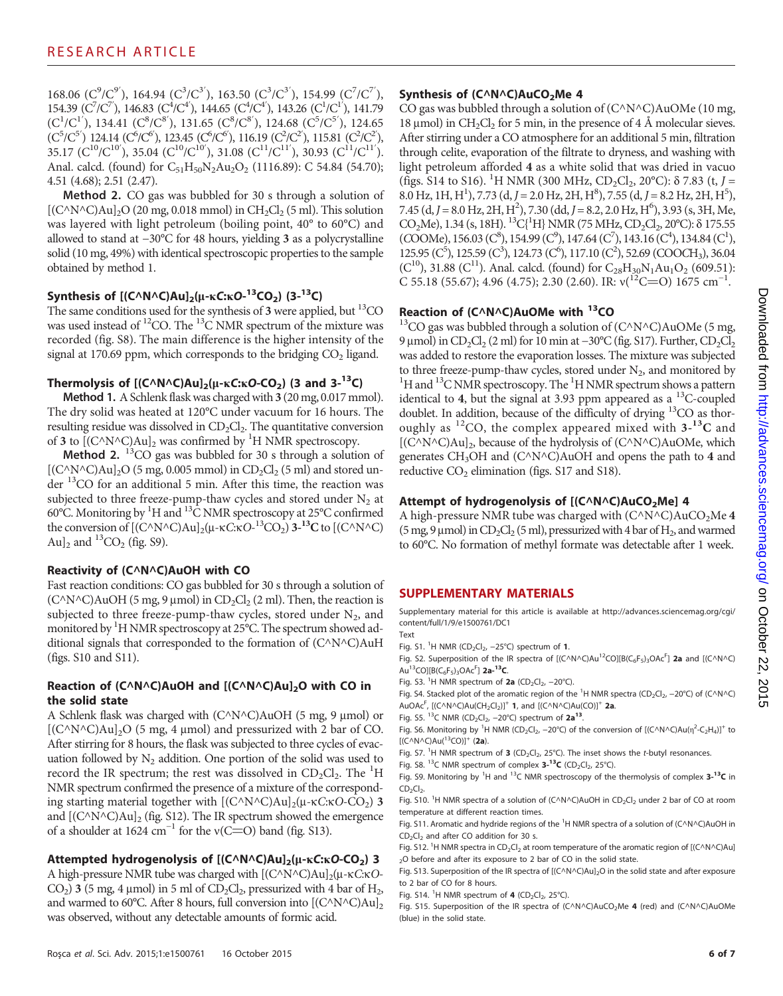168.06 ( $C^9/C^{9'}$ ), 164.94 ( $C^3/C^{3'}$ ), 163.50 ( $C^3/C^{3'}$ ), 154.99 ( $C^7/C^{7'}$ ), 154.39 ( $C^7/C^7$ ), 146.83 ( $C^4/C^4$ ), 144.65 ( $C^4/C^4$ ), 143.26 ( $C^1/C^1$ ), 141.79  $(C^1/C^{1'})$ , 134.41  $(C^8/C^{8'})$ , 131.65  $(C^8/C^{8'})$ , 124.68  $(C^5/C^{5'})$ , 124.65  $(C^5/C^{5'})$  124.14  $(C^6/C^6)$ , 123.45  $(C^6/C^6)$ , 116.19  $(C^2/C^2)$ , 115.81  $(C^2/C^2)$ ,  $35.17 \; (C^{10}/C^{10'})$ ,  $35.04 \; (C^{10}/C^{10'})$ ,  $31.08 \; (C^{11}/C^{11'})$ ,  $30.93 \; (C^{11}/C^{11'}).$ Anal. calcd. (found) for  $C_{51}H_{50}N_2Au_2O_2$  (1116.89): C 54.84 (54.70); 4.51 (4.68); 2.51 (2.47).

Method 2. CO gas was bubbled for 30 s through a solution of  $[(C^NN^nC)Au]_2O$  (20 mg, 0.018 mmol) in  $CH_2Cl_2$  (5 ml). This solution was layered with light petroleum (boiling point, 40° to 60°C) and allowed to stand at −30°C for 48 hours, yielding 3 as a polycrystalline solid (10 mg, 49%) with identical spectroscopic properties to the sample obtained by method 1.

# Synthesis of  $[(C^N N^N C) A u]_2(\mu$ -kC:kO- $^{13}CO_2)$  (3- $^{13}$ C)

The same conditions used for the synthesis of  $3$  were applied, but <sup>13</sup>CO was used instead of <sup>12</sup>CO. The <sup>13</sup>C NMR spectrum of the mixture was recorded (fig. S8). The main difference is the higher intensity of the signal at 170.69 ppm, which corresponds to the bridging  $CO<sub>2</sub>$  ligand.

#### Thermolysis of  $[(C \wedge N \wedge C)Au]_2(\mu - \kappa C \cdot \kappa O - CO_2)$  (3 and 3-<sup>13</sup>C)

Method 1. A Schlenk flask was charged with 3 (20 mg, 0.017 mmol). The dry solid was heated at 120°C under vacuum for 16 hours. The resulting residue was dissolved in  $CD_2Cl_2$ . The quantitative conversion of 3 to  $[(C^{\wedge}N^{\wedge}C)Au]_2$  was confirmed by <sup>1</sup>H NMR spectroscopy.

**Method 2.** <sup>13</sup>CO gas was bubbled for 30 s through a solution of [(C^N^C)Au]<sub>2</sub>O (5 mg, 0.005 mmol) in CD<sub>2</sub>Cl<sub>2</sub> (5 ml) and stored under 13CO for an additional 5 min. After this time, the reaction was subjected to three freeze-pump-thaw cycles and stored under  $N_2$  at 60°C. Monitoring by <sup>1</sup>H and <sup>13</sup>C NMR spectroscopy at 25°C confirmed the conversion of  $[(C^{\wedge}N^{\wedge}C)Au]_2(\mu-\kappa C\kappa O^{-13}CO_2)$  3-<sup>13</sup>C to  $[(C^{\wedge}N^{\wedge}C)$ Au]<sub>2</sub> and  ${}^{13}CO_2$  (fig. S9).

### Reactivity of (C^N^C)AuOH with CO

Fast reaction conditions: CO gas bubbled for 30 s through a solution of  $(C^{\wedge}N^{\wedge}C)AuOH$  (5 mg, 9 µmol) in  $CD_2Cl_2$  (2 ml). Then, the reaction is subjected to three freeze-pump-thaw cycles, stored under  $N_2$ , and monitored by <sup>1</sup>H NMR spectroscopy at 25°C. The spectrum showed additional signals that corresponded to the formation of (C^N^C)AuH (figs. S10 and S11).

#### Reaction of  $(C^{\wedge}N^{\wedge}C)AuOH$  and  $[(C^{\wedge}N^{\wedge}C)Au]_2O$  with CO in the solid state

A Schlenk flask was charged with  $(C^{\wedge}N^{\wedge}C)AuOH$  (5 mg, 9 µmol) or  $[(C^NN^C)Au]_2O$  (5 mg, 4 µmol) and pressurized with 2 bar of CO. After stirring for 8 hours, the flask was subjected to three cycles of evacuation followed by  $N_2$  addition. One portion of the solid was used to record the IR spectrum; the rest was dissolved in  $CD_2Cl_2$ . The <sup>1</sup>H NMR spectrum confirmed the presence of a mixture of the corresponding starting material together with  $[(C^N N^C)Au]_2(\mu - \kappa C:\kappa O-CO_2)$  3 and  $[(C^NN^nC)Au]_2$  (fig. S12). The IR spectrum showed the emergence of a shoulder at 1624 cm<sup>-1</sup> for the v(C=O) band (fig. S13).

#### Attempted hydrogenolysis of  $[(C \wedge N \wedge C)Au]_2(\mu -kC :kO-CO_2)$  3

A high-pressure NMR tube was charged with  $[(C^{\wedge}N^{\wedge}C)Au]_2(\mu$ -kC:kO- $CO<sub>2</sub>$ ) 3 (5 mg, 4 µmol) in 5 ml of  $CD<sub>2</sub>Cl<sub>2</sub>$ , pressurized with 4 bar of  $H<sub>2</sub>$ , and warmed to 60 $^{\circ}$ C. After 8 hours, full conversion into  $[(C^{\wedge}N^{\wedge}C)Au]_{2}$ was observed, without any detectable amounts of formic acid.

### Synthesis of  $(C^NAC)AUCO_2Me$  4

CO gas was bubbled through a solution of  $(C^{\wedge}N^{\wedge}C)AuOMe$  (10 mg, 18 µmol) in  $CH_2Cl_2$  for 5 min, in the presence of 4 Å molecular sieves. After stirring under a CO atmosphere for an additional 5 min, filtration through celite, evaporation of the filtrate to dryness, and washing with light petroleum afforded 4 as a white solid that was dried in vacuo (figs. S14 to S16). <sup>1</sup>H NMR (300 MHz, CD<sub>2</sub>Cl<sub>2</sub>, 20°C):  $\delta$  7.83 (t, J =  $8.0 \text{ Hz}, 1H, H^1$ ), 7.73 (d, J = 2.0 Hz, 2H, H<sup>8</sup>), 7.55 (d, J = 8.2 Hz, 2H, H<sup>5</sup>), 7.45 (d, J = 8.0 Hz, 2H, H<sup>2</sup>), 7.30 (dd, J = 8.2, 2.0 Hz, H<sup>6</sup>), 3.93 (s, 3H, Me, CO<sub>2</sub>Me), 1.34 (s, 18H). <sup>13</sup>C{<sup>1</sup>H} NMR (75 MHz, CD<sub>2</sub>Cl<sub>2</sub>, 20°C):  $\delta$  175.55  $(COOMe)$ , 156.03  $(C^8)$ , 154.99  $(C^9)$ , 147.64  $(C^7)$ , 143.16  $(C^4)$ , 134.84  $(C^1)$ ,  $125.95$  (C<sup>5</sup>),  $125.59$  (C<sup>3</sup>),  $124.73$  (C<sup>6</sup>),  $117.10$  (C<sup>2</sup>),  $52.69$  (COOCH<sub>3</sub>),  $36.04$  $(C^{10})$ , 31.88  $(C^{11})$ . Anal. calcd. (found) for  $C_{28}H_{30}N_1Au_1O_2$  (609.51):  $C$  55.18 (55.67); 4.96 (4.75); 2.30 (2.60). IR:  $v(^{12}C=O)$  1675 cm<sup>-1</sup>.

**Reaction of (C^N^C)AuOMe with <sup>13</sup>CO**  $^{13}$ CO gas was bubbled through a solution of (C^N^C)AuOMe (5 mg, 9 μmol) in CD<sub>2</sub>Cl<sub>2</sub> (2 ml) for 10 min at −30°C (fig. S17). Further, CD<sub>2</sub>Cl<sub>2</sub> was added to restore the evaporation losses. The mixture was subjected to three freeze-pump-thaw cycles, stored under  $N_2$ , and monitored by H and <sup>13</sup>C NMR spectroscopy. The <sup>1</sup>H NMR spectrum shows a pattern identical to 4, but the signal at 3.93 ppm appeared as a  $^{13}$ C-coupled doublet. In addition, because of the difficulty of drying <sup>13</sup>CO as thoroughly as  ${}^{12}CO$ , the complex appeared mixed with  $3-{}^{13}C$  and  $[(C^{\wedge}N^{\wedge}C)Au]_2$ , because of the hydrolysis of  $(C^{\wedge}N^{\wedge}C)AuOMe$ , which generates CH<sub>3</sub>OH and (C $\triangle N$ <sup> $\triangle C$ </sup>)AuOH and opens the path to 4 and reductive  $CO<sub>2</sub>$  elimination (figs. S17 and S18).

### Attempt of hydrogenolysis of  $[(C \wedge N \wedge C)AuCO<sub>2</sub>Me]$  4

A high-pressure NMR tube was charged with  $(C^{\wedge}N^{\wedge}C)AuCO_{2}Me$  4 (5 mg, 9  $\mu$ mol) in CD<sub>2</sub>Cl<sub>2</sub> (5 ml), pressurized with 4 bar of H<sub>2</sub>, and warmed to 60°C. No formation of methyl formate was detectable after 1 week.

### SUPPLEMENTARY MATERIALS

Supplementary material for this article is available at [http://advances.sciencemag.org/cgi/](http://advances.sciencemag.org/cgi/content/full/1/9/e1500761/DC1) [content/full/1/9/e1500761/DC1](http://advances.sciencemag.org/cgi/content/full/1/9/e1500761/DC1)

- Text
- Fig. S1. <sup>1</sup>H NMR (CD<sub>2</sub>Cl<sub>2</sub>, -25°C) spectrum of 1.
- Fig. S2. Superposition of the IR spectra of  $[(C \wedge N \wedge C)Au^{12}CO][B(C_6F_5)_3OAc^F]$  2a and  $[(C \wedge N \wedge C)$ Au<sup>13</sup>CO][B(C<sub>6</sub>F<sub>5</sub>)<sub>3</sub>OAc<sup>F</sup>] 2a-<sup>13</sup>C.

Fig. S3. <sup>1</sup>H NMR spectrum of 2a (CD<sub>2</sub>Cl<sub>2</sub>, -20°C).

Fig. S4. Stacked plot of the aromatic region of the  ${}^{1}H$  NMR spectra (CD<sub>2</sub>Cl<sub>2</sub>, -20°C) of (C^N^C) AuOAc<sup>F</sup>, [(C^N^C)Au(CH<sub>2</sub>Cl<sub>2</sub>)]<sup>+</sup> 1, and [(C^N^C)Au(CO)]<sup>+</sup> 2a.

Fig. S5. <sup>13</sup>C NMR (CD<sub>2</sub>Cl<sub>2</sub>, -20°C) spectrum of 2a<sup>13</sup>.

Fig. S6. Monitoring by <sup>1</sup>H NMR (CD<sub>2</sub>Cl<sub>2</sub>, -20°C) of the conversion of [(C^N^C)Au( $\eta^2$ -C<sub>2</sub>H<sub>4</sub>)]<sup>+</sup> to  $[ (C \wedge N \wedge C)Au(^{13}CO)]^{+}$  (2a).

Fig. S7. <sup>1</sup>H NMR spectrum of 3 (CD<sub>2</sub>Cl<sub>2</sub>, 25°C). The inset shows the t-butyl resonances.

Fig. S8. <sup>13</sup>C NMR spectrum of complex  $3$ -<sup>13</sup>C (CD<sub>2</sub>Cl<sub>2</sub>, 25°C).

Fig. S9. Monitoring by <sup>1</sup>H and <sup>13</sup>C NMR spectroscopy of the thermolysis of complex  $3$ -<sup>13</sup>C in  $CD<sub>2</sub>Cl<sub>2</sub>$ .

Fig. S10. <sup>1</sup>H NMR spectra of a solution of (C^N^C)AuOH in CD<sub>2</sub>Cl<sub>2</sub> under 2 bar of CO at room temperature at different reaction times.

Fig. S11. Aromatic and hydride regions of the  ${}^{1}$ H NMR spectra of a solution of (C^N^C)AuOH in  $CD_2Cl_2$  and after CO addition for 30 s.

Fig. S12. <sup>1</sup>H NMR spectra in CD<sub>2</sub>Cl<sub>2</sub> at room temperature of the aromatic region of [(C^N^C)Au] <sub>2</sub>O before and after its exposure to 2 bar of CO in the solid state.

Fig. S13. Superposition of the IR spectra of  $[(C \wedge N \wedge C)Au]_2O$  in the solid state and after exposure to 2 bar of CO for 8 hours.

Fig. S14. <sup>1</sup>H NMR spectrum of **4** (CD<sub>2</sub>Cl<sub>2</sub>, 25°C).

Fig. S15. Superposition of the IR spectra of (C^N^C)AuCO<sub>2</sub>Me 4 (red) and (C^N^C)AuOMe (blue) in the solid state.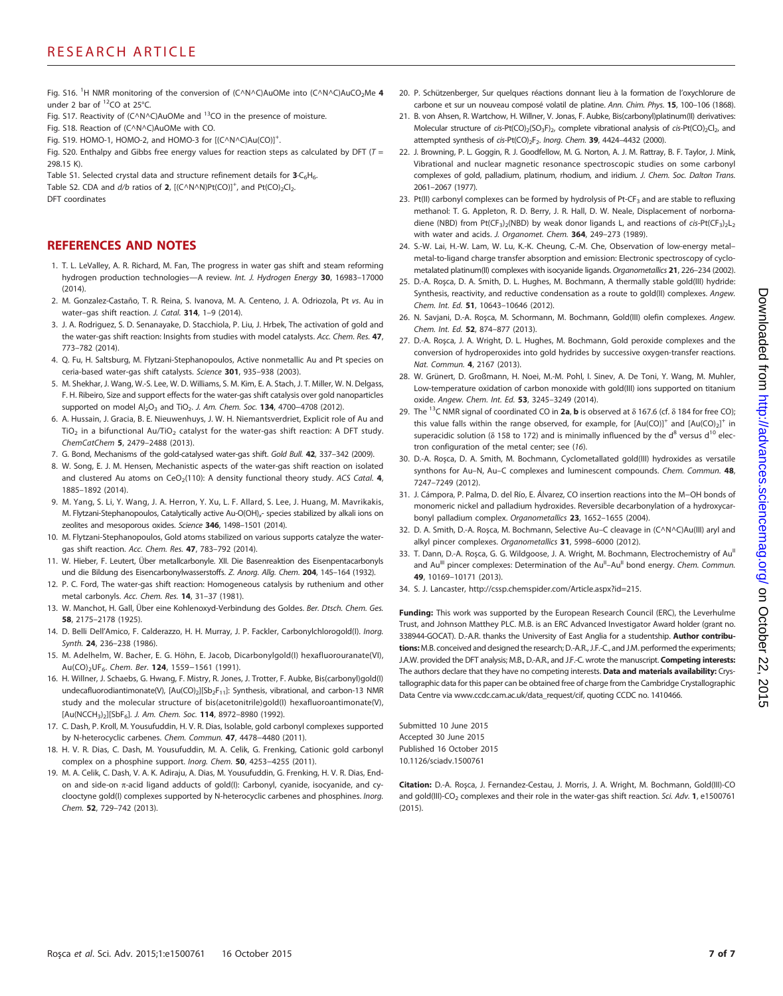Fig. S16. <sup>1</sup>H NMR monitoring of the conversion of (C^N^C)AuOMe into (C^N^C)AuCO<sub>2</sub>Me 4 under 2 bar of <sup>12</sup>CO at 25°C.

- Fig. S17. Reactivity of (C $\wedge$ N $\wedge$ C)AuOMe and <sup>13</sup>CO in the presence of moisture.
- Fig. S18. Reaction of (C^N^C)AuOMe with CO.
- Fig. S19. HOMO-1, HOMO-2, and HOMO-3 for  $[(C \wedge N \wedge C)Au(CO)]^{+}$ . .

Fig. S20. Enthalpy and Gibbs free energy values for reaction steps as calculated by DFT ( $T =$ 298.15 K).

Table S1. Selected crystal data and structure refinement details for  $3 \cdot C_6H_6$ .

Table S2. CDA and  $d/b$  ratios of 2,  $[(C \wedge N \wedge N)Pt(CO)]^{+}$ , and  $Pt(CO)_{2}Cl_{2}$ .

DFT coordinates

#### REFERENCES AND NOTES

- 1. T. L. LeValley, A. R. Richard, M. Fan, The progress in water gas shift and steam reforming hydrogen production technologies—A review. Int. J. Hydrogen Energy 30, 16983–17000 (2014).
- 2. M. Gonzalez-Castaño, T. R. Reina, S. Ivanova, M. A. Centeno, J. A. Odriozola, Pt vs. Au in water-gas shift reaction. J. Catal. 314, 1-9 (2014).
- 3. J. A. Rodriguez, S. D. Senanayake, D. Stacchiola, P. Liu, J. Hrbek, The activation of gold and the water-gas shift reaction: Insights from studies with model catalysts. Acc. Chem. Res. 47, 773–782 (2014).
- 4. Q. Fu, H. Saltsburg, M. Flytzani-Stephanopoulos, Active nonmetallic Au and Pt species on ceria-based water-gas shift catalysts. Science 301, 935-938 (2003).
- 5. M. Shekhar, J. Wang, W.-S. Lee, W. D. Williams, S. M. Kim, E. A. Stach, J. T. Miller, W. N. Delgass, F. H. Ribeiro, Size and support effects for the water-gas shift catalysis over gold nanoparticles supported on model Al<sub>2</sub>O<sub>3</sub> and TiO<sub>2</sub>. J. Am. Chem. Soc. 134, 4700–4708 (2012).
- 6. A. Hussain, J. Gracia, B. E. Nieuwenhuys, J. W. H. Niemantsverdriet, Explicit role of Au and TiO<sub>2</sub> in a bifunctional Au/TiO<sub>2</sub> catalyst for the water-gas shift reaction: A DFT study. ChemCatChem 5, 2479–2488 (2013).
- 7. G. Bond, Mechanisms of the gold-catalysed water-gas shift. Gold Bull. 42, 337-342 (2009).
- 8. W. Song, E. J. M. Hensen, Mechanistic aspects of the water-gas shift reaction on isolated and clustered Au atoms on  $CeO<sub>2</sub>(110)$ : A density functional theory study. ACS Catal. 4, 1885–1892 (2014).
- 9. M. Yang, S. Li, Y. Wang, J. A. Herron, Y. Xu, L. F. Allard, S. Lee, J. Huang, M. Mavrikakis, M. Flytzani-Stephanopoulos, Catalytically active Au-O(OH) $<sub>x</sub>$ - species stabilized by alkali ions on</sub> zeolites and mesoporous oxides. Science 346, 1498–1501 (2014).
- 10. M. Flytzani-Stephanopoulos, Gold atoms stabilized on various supports catalyze the watergas shift reaction. Acc. Chem. Res. 47, 783–792 (2014).
- 11. W. Hieber, F. Leutert, Über metallcarbonyle. XII. Die Basenreaktion des Eisenpentacarbonyls und die Bildung des Eisencarbonylwasserstoffs. Z. Anorg. Allg. Chem. 204, 145-164 (1932).
- 12. P. C. Ford, The water-gas shift reaction: Homogeneous catalysis by ruthenium and other metal carbonyls. Acc. Chem. Res. 14, 31–37 (1981).
- 13. W. Manchot, H. Gall, Über eine Kohlenoxyd-Verbindung des Goldes. Ber. Dtsch. Chem. Ges. 58, 2175–2178 (1925).
- 14. D. Belli Dell'Amico, F. Calderazzo, H. H. Murray, J. P. Fackler, Carbonylchlorogold(I). Inorg. Synth. 24, 236–238 (1986).
- 15. M. Adelhelm, W. Bacher, E. G. Höhn, E. Jacob, Dicarbonylgold(I) hexafluorouranate(VI), Au(CO)<sub>2</sub>UF<sub>6</sub>. Chem. Ber. 124, 1559-1561 (1991).
- 16. H. Willner, J. Schaebs, G. Hwang, F. Mistry, R. Jones, J. Trotter, F. Aubke, Bis(carbonyl)gold(I) undecafluorodiantimonate(V),  $[Au(CO)_2][Sb_2F_{11}]$ : Synthesis, vibrational, and carbon-13 NMR study and the molecular structure of bis(acetonitrile)gold(I) hexafluoroantimonate(V), [Au(NCCH3)2][SbF6]. J. Am. Chem. Soc. 114, 8972–8980 (1992).
- 17. C. Dash, P. Kroll, M. Yousufuddin, H. V. R. Dias, Isolable, gold carbonyl complexes supported by N-heterocyclic carbenes. Chem. Commun. 47, 4478−4480 (2011).
- 18. H. V. R. Dias, C. Dash, M. Yousufuddin, M. A. Celik, G. Frenking, Cationic gold carbonyl complex on a phosphine support. Inorg. Chem. 50, 4253−4255 (2011).
- 19. M. A. Celik, C. Dash, V. A. K. Adiraju, A. Dias, M. Yousufuddin, G. Frenking, H. V. R. Dias, Endon and side-on  $\pi$ -acid ligand adducts of gold(I): Carbonyl, cyanide, isocyanide, and cyclooctyne gold(I) complexes supported by N-heterocyclic carbenes and phosphines. Inorg. Chem. 52, 729–742 (2013).
- 20. P. Schützenberger, Sur quelques réactions donnant lieu à la formation de l'oxychlorure de carbone et sur un nouveau composé volatil de platine. Ann. Chim. Phys. 15, 100–106 (1868).
- 21. B. von Ahsen, R. Wartchow, H. Willner, V. Jonas, F. Aubke, Bis(carbonyl)platinum(II) derivatives: Molecular structure of cis-Pt(CO)<sub>2</sub>(SO<sub>3</sub>F)<sub>2</sub>, complete vibrational analysis of cis-Pt(CO)<sub>2</sub>Cl<sub>2</sub>, and attempted synthesis of cis-Pt(CO)<sub>2</sub>F<sub>2</sub>. Inorg. Chem. 39, 4424-4432 (2000).
- 22. J. Browning, P. L. Goggin, R. J. Goodfellow, M. G. Norton, A. J. M. Rattray, B. F. Taylor, J. Mink, Vibrational and nuclear magnetic resonance spectroscopic studies on some carbonyl complexes of gold, palladium, platinum, rhodium, and iridium. J. Chem. Soc. Dalton Trans. 2061–2067 (1977).
- 23. Pt(II) carbonyl complexes can be formed by hydrolysis of Pt-CF<sub>3</sub> and are stable to refluxing methanol: T. G. Appleton, R. D. Berry, J. R. Hall, D. W. Neale, Displacement of norbornadiene (NBD) from Pt(CF<sub>3</sub>)<sub>2</sub>(NBD) by weak donor ligands L, and reactions of cis-Pt(CF<sub>3</sub>)<sub>2</sub>L<sub>2</sub> with water and acids. J. Organomet. Chem. 364, 249-273 (1989).
- 24. S.-W. Lai, H.-W. Lam, W. Lu, K.-K. Cheung, C.-M. Che, Observation of low-energy metal– metal-to-ligand charge transfer absorption and emission: Electronic spectroscopy of cyclometalated platinum(II) complexes with isocyanide ligands. Organometallics 21, 226–234 (2002).
- 25. D.-A. Roşca, D. A. Smith, D. L. Hughes, M. Bochmann, A thermally stable gold(III) hydride: Synthesis, reactivity, and reductive condensation as a route to gold(II) complexes. Angew. Chem. Int. Ed. 51, 10643–10646 (2012).
- 26. N. Savjani, D.-A. Roșca, M. Schormann, M. Bochmann, Gold(III) olefin complexes. Angew. Chem. Int. Ed. 52, 874–877 (2013).
- 27. D.-A. Roşca, J. A. Wright, D. L. Hughes, M. Bochmann, Gold peroxide complexes and the conversion of hydroperoxides into gold hydrides by successive oxygen-transfer reactions. Nat. Commun. 4, 2167 (2013).
- 28. W. Grünert, D. Großmann, H. Noei, M.-M. Pohl, I. Sinev, A. De Toni, Y. Wang, M. Muhler, Low-temperature oxidation of carbon monoxide with gold(III) ions supported on titanium oxide. Angew. Chem. Int. Ed. 53, 3245–3249 (2014).
- 29. The <sup>13</sup>C NMR signal of coordinated CO in 2a, b is observed at  $\delta$  167.6 (cf.  $\delta$  184 for free CO); this value falls within the range observed, for example, for  $[Au(CO)]^+$  and  $[Au(CO)_2]^+$  in superacidic solution ( $\delta$  158 to 172) and is minimally influenced by the d<sup>8</sup> versus d<sup>10</sup> electron configuration of the metal center; see (16).
- 30. D.-A. Roşca, D. A. Smith, M. Bochmann, Cyclometallated gold(III) hydroxides as versatile synthons for Au–N, Au–C complexes and luminescent compounds. Chem. Commun. 48, 7247–7249 (2012).
- 31. J. Cámpora, P. Palma, D. del Río, E. Álvarez, CO insertion reactions into the M−OH bonds of monomeric nickel and palladium hydroxides. Reversible decarbonylation of a hydroxycarbonyl palladium complex. Organometallics 23, 1652–1655 (2004).
- 32. D. A. Smith, D.-A. Roşca, M. Bochmann, Selective Au–C cleavage in (C^N^C)Au(III) aryl and alkyl pincer complexes. Organometallics 31, 5998–6000 (2012).
- 33. T. Dann, D.-A. Roșca, G. G. Wildgoose, J. A. Wright, M. Bochmann, Electrochemistry of Au<sup>II</sup> and Au<sup>III</sup> pincer complexes: Determination of the Au<sup>II</sup>-Au<sup>II</sup> bond energy. Chem. Commun. 49, 10169–10171 (2013).
- 34. S. J. Lancaster, http://cssp.chemspider.com/Article.aspx?id=215.

Funding: This work was supported by the European Research Council (ERC), the Leverhulme Trust, and Johnson Matthey PLC. M.B. is an ERC Advanced Investigator Award holder (grant no. 338944-GOCAT). D.-A.R. thanks the University of East Anglia for a studentship. Author contributions: M.B. conceived and designed the research; D.-A.R., J.F.-C., and J.M. performed the experiments; J.A.W. provided the DFT analysis; M.B., D.-A.R., and J.F.-C. wrote the manuscript. Competing interests: The authors declare that they have no competing interests. **Data and materials availability:** Crystallographic data for this paper can be obtained free of charge from the Cambridge Crystallographic Data Centre via www.ccdc.cam.ac.uk/data\_request/cif, quoting CCDC no. 1410466.

Submitted 10 June 2015 Accepted 30 June 2015 Published 16 October 2015 10.1126/sciadv.1500761

Citation: D.-A. Roşca, J. Fernandez-Cestau, J. Morris, J. A. Wright, M. Bochmann, Gold(III)-CO and gold(III)-CO<sub>2</sub> complexes and their role in the water-gas shift reaction. Sci. Adv. 1, e1500761  $(2015)$